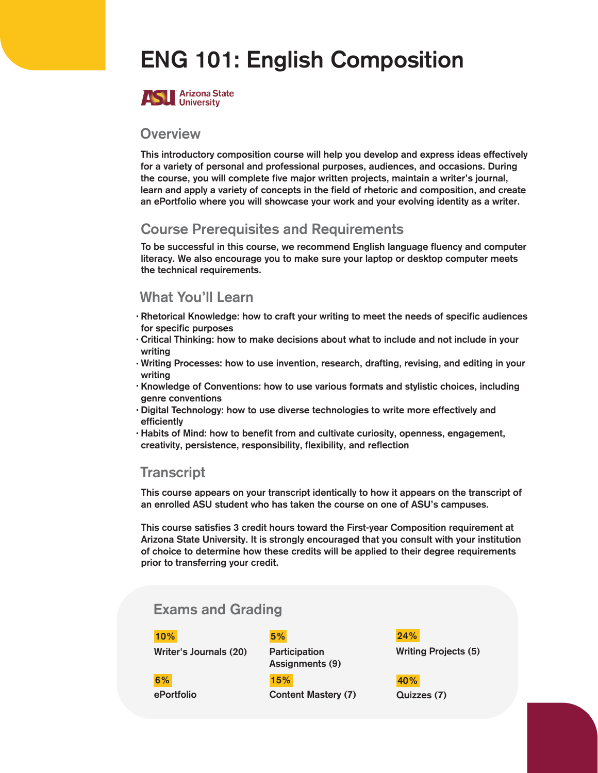## ENG 101: English Composition



#### **Overview**

This introductory composition course will help you develop and express ideas effectively for a variety of personal and professional purposes, audiences, and occasions. During the course, you will complete five major written projects, maintain a writer's journal, learn and apply a variety of concepts in the field of rhetoric and composition, and create an ePortfolio where you will showcase your work and your evolving identity as a writer.

### Course Prerequisites and Requirements

To be successful in this course, we recommend English language fluency and computer literacy. We also encourage you to make sure your laptop or desktop computer meets the technical requirements.

### What You'll Learn

- $\cdot$  Rhetorical Knowledge: how to craft your writing to meet the needs of specific audiences for specific purposes
- $\cdot$  Critical Thinking: how to make decisions about what to include and not include in your writing
- Writing Processes: how to use invention, research, drafting, revising, and editing in your writing
- · Knowledge of Conventions: how to use various formats and stylistic choices, including genre conventions
- $\cdot$  Digital Technology: how to use diverse technologies to write more effectively and efficiently
- Habits of Mind: how to benefit from and cultivate curiosity, openness, engagement, creativity, persistence, responsibility, flexibility, and reflection

#### **Transcript**

This course appears on your transcript identically to how it appears on the transcript of an enrolled ASU student who has taken the course on one of ASU's campuses.

This course satisfies 3 credit hours toward the First-year Composition requirement at Arizona State University. It is strongly encouraged that you consult with your institution of choice to determine how these credits will be applied to their degree requirements prior to transferring your credit.

### Exams and Grading

| 5%                               |
|----------------------------------|
| Participation<br>Assignments (9) |
| 15%                              |
| <b>Content Mastery (7)</b>       |
|                                  |

pation ments (9)

> Quizzes (7) 40%

24%

Writing Projects (5)